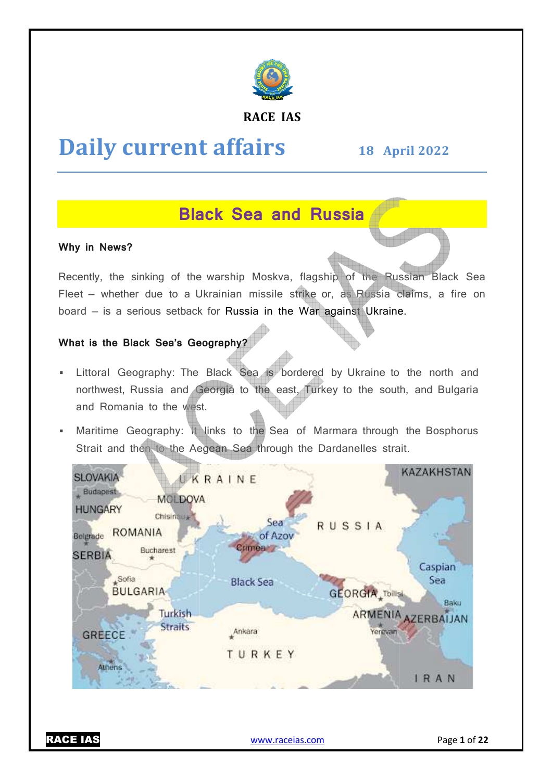

#### **RACE IAS**

# **Daily current affairs**

**18 April April 2022** 

## **Black Sea and Russia**

#### **Why in News?**

Recently, the sinking of the warship Moskva, flagship of the Russian Black Sea Fleet – whether due to a Ukrainian missile strike or, as Russia claims, a fire on board — is a serious setback for Russia in the War against Ukraine.

#### **What is the Black Sea's Geography?**

- **Example 2** Littoral Geography: The Black Sea is bordered by Ukraine to the north and northwest, Russia and Georgia to the east, Turkey to the south, and Bulgaria and Romania to the west.
- Inter Maritime Geography: It links to the Sea of Marmara through the Bosphorus Strait and then to the Aegean Sea through the Dardanelles strait.



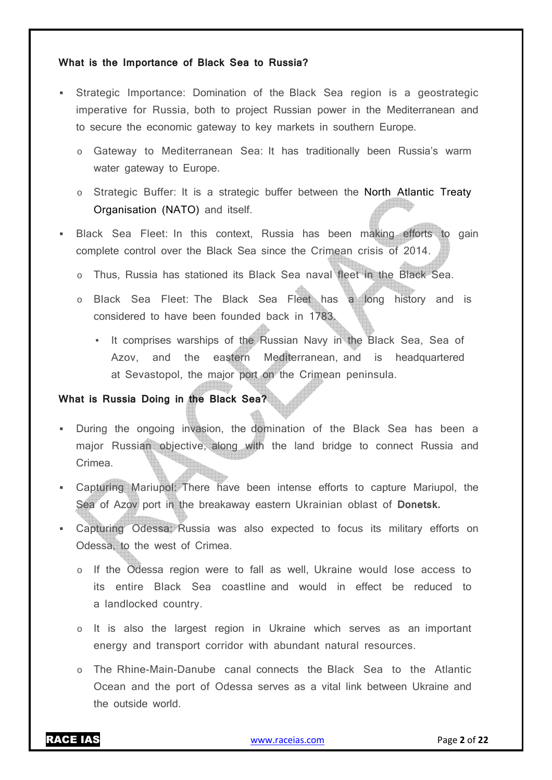#### **What is the Importance of Black Sea to Russia?**

- Strategic Importance: Domination of the Black Sea region is a geostrategic imperative for Russia, both to project Russian power in the Mediterranean and to secure the economic gateway to key markets in southern Europe.
	- o Gateway to Mediterranean Sea: It has traditionally been Russia's warm water gateway to Europe.
	- o Strategic Buffer: It is a strategic buffer between the North Atlantic Treaty Organisation (NATO) and itself.
- Black Sea Fleet: In this context, Russia has been making efforts to gain complete control over the Black Sea since the Crimean crisis of 2014.
	- o Thus, Russia has stationed its Black Sea naval fleet in the Black Sea.
	- o Black Sea Fleet: The Black Sea Fleet has a long history and is considered to have been founded back in 1783.
		- It comprises warships of the Russian Navy in the Black Sea, Sea of Azov, and the eastern Mediterranean, and is headquartered at Sevastopol, the major port on the Crimean peninsula.

#### **What is Russia Doing in the Black Sea?**

- During the ongoing invasion, the domination of the Black Sea has been a major Russian objective, along with the land bridge to connect Russia and Crimea.
- Capturing Mariupol: There have been intense efforts to capture Mariupol, the Sea of Azov port in the breakaway eastern Ukrainian oblast of **Donetsk.**
- Capturing Odessa: Russia was also expected to focus its military efforts on Odessa, to the west of Crimea.
	- o If the Odessa region were to fall as well, Ukraine would lose access to its entire Black Sea coastline and would in effect be reduced to a landlocked country.
	- $\circ$  It is also the largest region in Ukraine which serves as an important energy and transport corridor with abundant natural resources.
	- o The Rhine-Main-Danube canal connects the Black Sea to the Atlantic Ocean and the port of Odessa serves as a vital link between Ukraine and the outside world.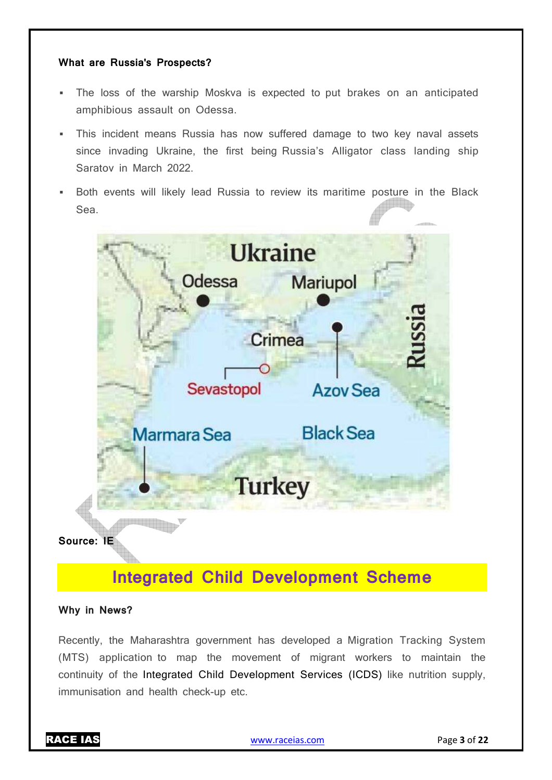#### **What are Russia's Prospects?**

- The loss of the warship Moskva is expected to put brakes on an anticipated amphibious assault on Odessa.
- This incident means Russia has now suffered damage to two key naval assets since invading Ukraine, the first being Russia's Alligator class landing ship Saratov in March 2022.
- Both events will likely lead Russia to review its maritime posture in the Black Sea.



## **Integrated Child Development Scheme**

#### **Why in News?**

Recently, the Maharashtra government has developed a Migration Tracking System (MTS) application to map the movement of migrant workers to maintain the continuity of the Integrated Child Development Services (ICDS) like nutrition supply, immunisation and health check-up etc.

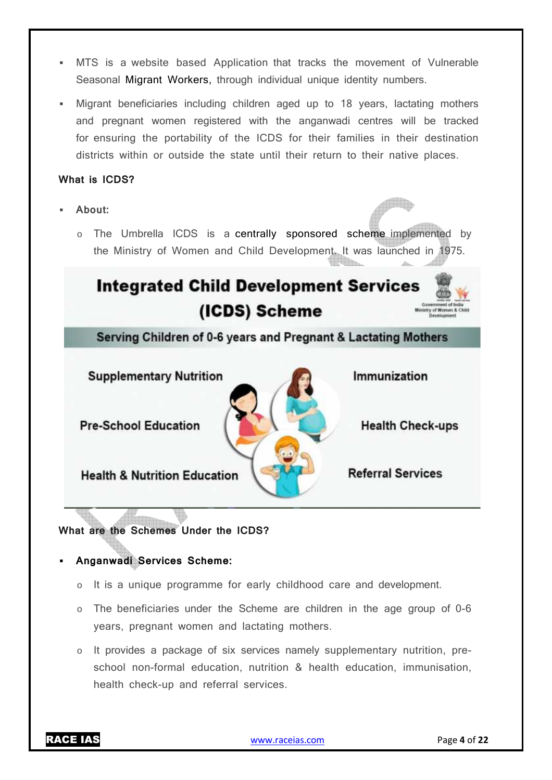- MTS is a website based Application that tracks the movement of Vulnerable Seasonal Migrant Workers, through individual unique identity numbers.
- Migrant beneficiaries including children aged up to 18 years, lactating mothers and pregnant women registered with the anganwadi centres will be tracked for ensuring the portability of the ICDS for their families in their destination districts within or outside the state until their return to their native places.

#### **What is ICDS?**

- **About:** 
	- o The Umbrella ICDS is a centrally sponsored scheme implemented by the Ministry of Women and Child Development. It was launched in 1975.

# **Integrated Child Development Services** (ICDS) Scheme

Serving Children of 0-6 years and Pregnant & Lactating Mothers

**Supplementary Nutrition** Immunization **Pre-School Education Health Check-ups Referral Services Health & Nutrition Education** 

**What are the Schemes Under the ICDS?** 

#### **Anganwadi Services Scheme:**

- o It is a unique programme for early childhood care and development.
- o The beneficiaries under the Scheme are children in the age group of 0-6 years, pregnant women and lactating mothers.
- $\circ$  It provides a package of six services namely supplementary nutrition, preschool non-formal education, nutrition & health education, immunisation, health check-up and referral services.

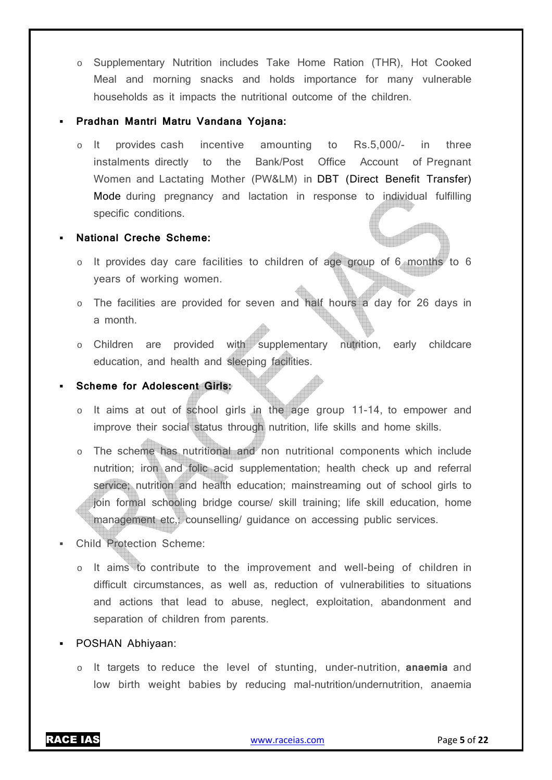o Supplementary Nutrition includes Take Home Ration (THR), Hot Cooked Meal and morning snacks and holds importance for many vulnerable households as it impacts the nutritional outcome of the children.

#### **Pradhan Mantri Matru Vandana Yojana:**

o It provides cash incentive amounting to Rs.5,000/- in three instalments directly to the Bank/Post Office Account of Pregnant Women and Lactating Mother (PW&LM) in DBT (Direct Benefit Transfer) Mode during pregnancy and lactation in response to individual fulfilling specific conditions.

#### **National Creche Scheme:**

- o It provides day care facilities to children of age group of 6 months to 6 years of working women.
- The facilities are provided for seven and half hours a day for 26 days in a month.
- o Children are provided with supplementary nutrition, early childcare education, and health and sleeping facilities.

#### **Scheme for Adolescent Girls:**

- o It aims at out of school girls in the age group 11-14, to empower and improve their social status through nutrition, life skills and home skills.
- o The scheme has nutritional and non nutritional components which include nutrition; iron and folic acid supplementation; health check up and referral service; nutrition and health education; mainstreaming out of school girls to join formal schooling bridge course/ skill training; life skill education, home management etc,; counselling/ guidance on accessing public services.
- Child Protection Scheme:
	- o It aims to contribute to the improvement and well-being of children in difficult circumstances, as well as, reduction of vulnerabilities to situations and actions that lead to abuse, neglect, exploitation, abandonment and separation of children from parents.
- POSHAN Abhiyaan:
	- o It targets to reduce the level of stunting, under-nutrition, **anaemia** and low birth weight babies by reducing mal-nutrition/undernutrition, anaemia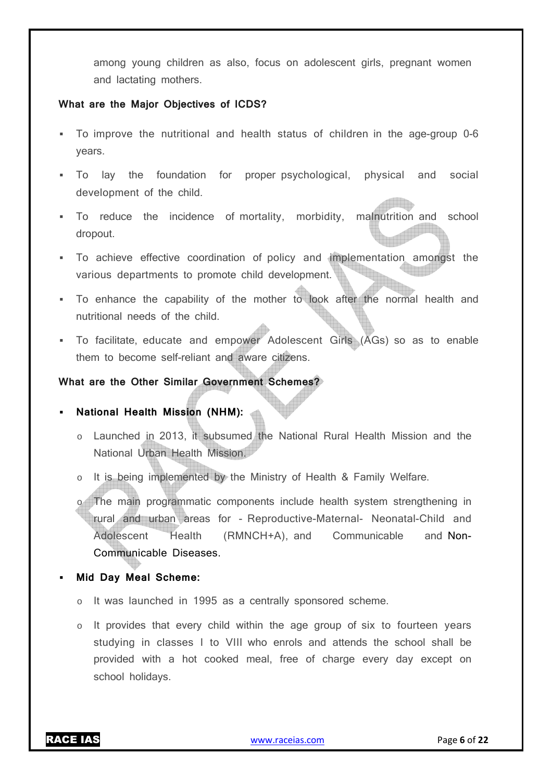among young children as also, focus on adolescent girls, pregnant women and lactating mothers.

#### **What are the Major Objectives of ICDS?**

- To improve the nutritional and health status of children in the age-group 0-6 years.
- To lay the foundation for proper psychological, physical and social development of the child.
- To reduce the incidence of mortality, morbidity, malnutrition and school dropout.
- To achieve effective coordination of policy and implementation amongst the various departments to promote child development.
- To enhance the capability of the mother to look after the normal health and nutritional needs of the child.
- To facilitate, educate and empower Adolescent Girls (AGs) so as to enable them to become self-reliant and aware citizens.

#### **What are the Other Similar Government Schemes?**

#### **National Health Mission (NHM):**

- o Launched in 2013, it subsumed the National Rural Health Mission and the National Urban Health Mission.
- It is being implemented by the Ministry of Health & Family Welfare.

o The main programmatic components include health system strengthening in rural and urban areas for - Reproductive-Maternal- Neonatal-Child and Adolescent Health (RMNCH+A), and Communicable and Non-Communicable Diseases.

#### **Mid Day Meal Scheme:**

- o It was launched in 1995 as a centrally sponsored scheme.
- o It provides that every child within the age group of six to fourteen years studying in classes I to VIII who enrols and attends the school shall be provided with a hot cooked meal, free of charge every day except on school holidays.

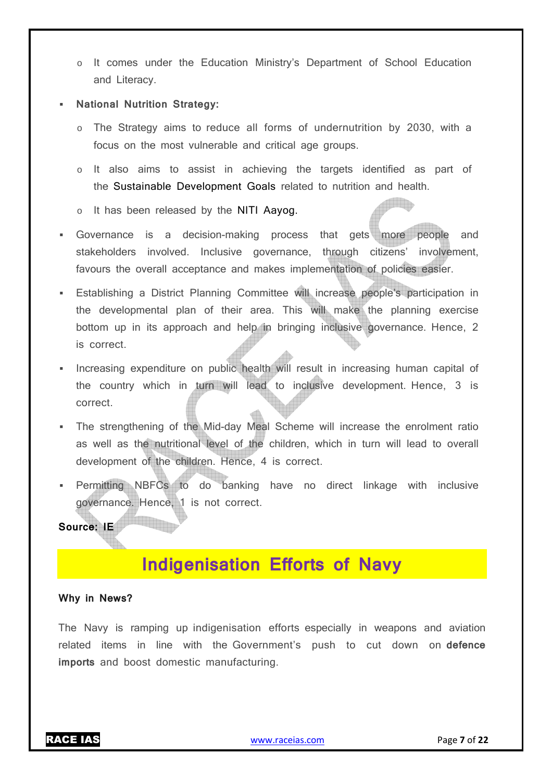o It comes under the Education Ministry's Department of School Education and Literacy.

#### **National Nutrition Strategy:**

- o The Strategy aims to reduce all forms of undernutrition by 2030, with a focus on the most vulnerable and critical age groups.
- o It also aims to assist in achieving the targets identified as part of the Sustainable Development Goals related to nutrition and health.
- o It has been released by the NITI Aayog.
- Governance is a decision-making process that gets more people and stakeholders involved. Inclusive governance, through citizens' involvement, favours the overall acceptance and makes implementation of policies easier.
- Establishing a District Planning Committee will increase people's participation in the developmental plan of their area. This will make the planning exercise bottom up in its approach and help in bringing inclusive governance. Hence, 2 is correct.
- **Increasing expenditure on public health will result in increasing human capital of** the country which in turn will lead to inclusive development. Hence, 3 is correct.
- The strengthening of the Mid-day Meal Scheme will increase the enrolment ratio as well as the nutritional level of the children, which in turn will lead to overall development of the children. Hence, 4 is correct.
- Permitting NBFCs to do banking have no direct linkage with inclusive governance. Hence, 1 is not correct.

#### **Source: IE**

## **Indigenisation Efforts of Navy**

#### **Why in News?**

The Navy is ramping up indigenisation efforts especially in weapons and aviation related items in line with the Government's push to cut down on **defence imports** and boost domestic manufacturing.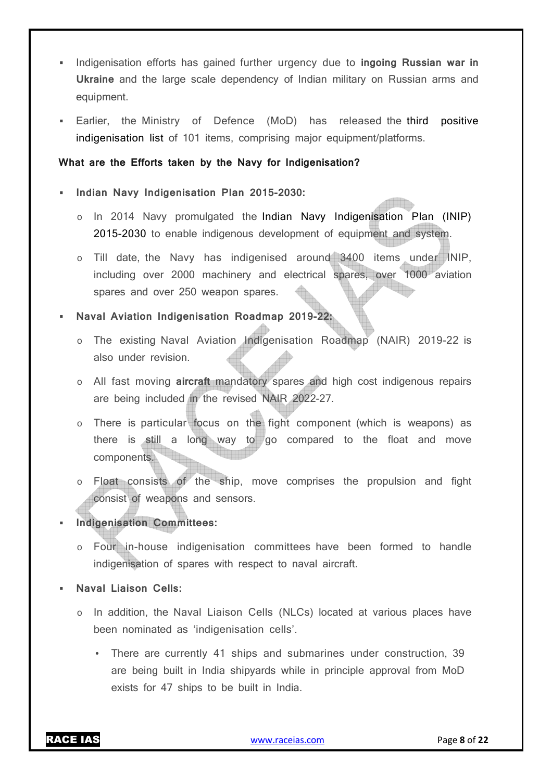- Indigenisation efforts has gained further urgency due to **ingoing Russian war in Ukraine** and the large scale dependency of Indian military on Russian arms and equipment.
- Earlier, the Ministry of Defence (MoD) has released the third positive indigenisation list of 101 items, comprising major equipment/platforms.

#### **What are the Efforts taken by the Navy for Indigenisation?**

#### **Indian Navy Indigenisation Plan 2015-2030:**

- o In 2014 Navy promulgated the Indian Navy Indigenisation Plan (INIP) 2015-2030 to enable indigenous development of equipment and system.
- o Till date, the Navy has indigenised around 3400 items under INIP, including over 2000 machinery and electrical spares, over 1000 aviation spares and over 250 weapon spares.

#### **Naval Aviation Indigenisation Roadmap 2019-22:**

- o The existing Naval Aviation Indigenisation Roadmap (NAIR) 2019-22 is also under revision.
- o All fast moving **aircraft** mandatory spares and high cost indigenous repairs are being included in the revised NAIR 2022-27.
- o There is particular focus on the fight component (which is weapons) as there is still a long way to go compared to the float and move components.
- o Float consists of the ship, move comprises the propulsion and fight consist of weapons and sensors.

#### **Indigenisation Committees:**

- o Four in-house indigenisation committees have been formed to handle indigenisation of spares with respect to naval aircraft.
- **Naval Liaison Cells:** 
	- In addition, the Naval Liaison Cells (NLCs) located at various places have been nominated as 'indigenisation cells'.
		- There are currently 41 ships and submarines under construction, 39 are being built in India shipyards while in principle approval from MoD exists for 47 ships to be built in India.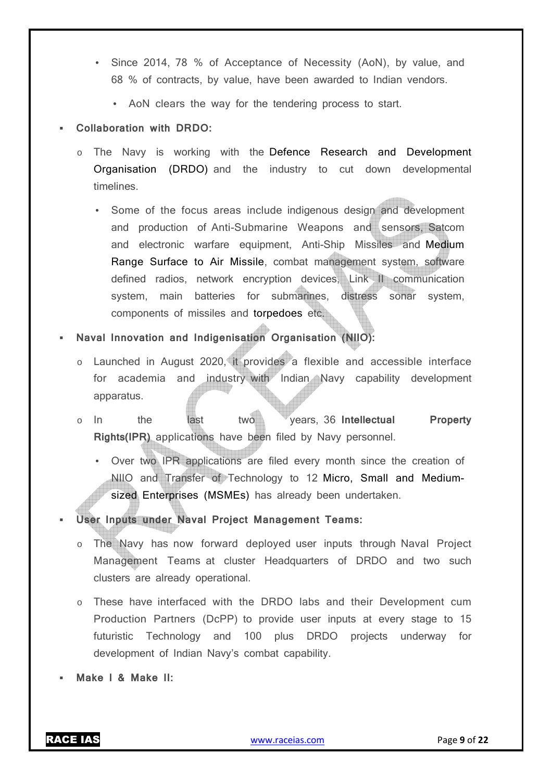- Since 2014, 78 % of Acceptance of Necessity (AoN), by value, and 68 % of contracts, by value, have been awarded to Indian vendors.
	- AoN clears the way for the tendering process to start.

#### **Collaboration with DRDO:**

- o The Navy is working with the Defence Research and Development Organisation (DRDO) and the industry to cut down developmental timelines.
	- Some of the focus areas include indigenous design and development and production of Anti-Submarine Weapons and sensors, Satcom and electronic warfare equipment, Anti-Ship Missiles and Medium Range Surface to Air Missile, combat management system, software defined radios, network encryption devices, Link II communication system, main batteries for submarines, distress sonar system, components of missiles and torpedoes etc.
- **Naval Innovation and Indigenisation Organisation (NIIO):** 
	- o Launched in August 2020, it provides a flexible and accessible interface for academia and industry with Indian Navy capability development apparatus.
	- o In the last two years, 36 **Intellectual Property Rights(IPR)** applications have been filed by Navy personnel.
		- Over two IPR applications are filed every month since the creation of NIIO and Transfer of Technology to 12 Micro, Small and Mediumsized Enterprises (MSMEs) has already been undertaken.
- **User Inputs under Naval Project Management Teams:** 
	- o The Navy has now forward deployed user inputs through Naval Project Management Teams at cluster Headquarters of DRDO and two such clusters are already operational.
	- o These have interfaced with the DRDO labs and their Development cum Production Partners (DcPP) to provide user inputs at every stage to 15 futuristic Technology and 100 plus DRDO projects underway for development of Indian Navy's combat capability.
- **Make I & Make II:**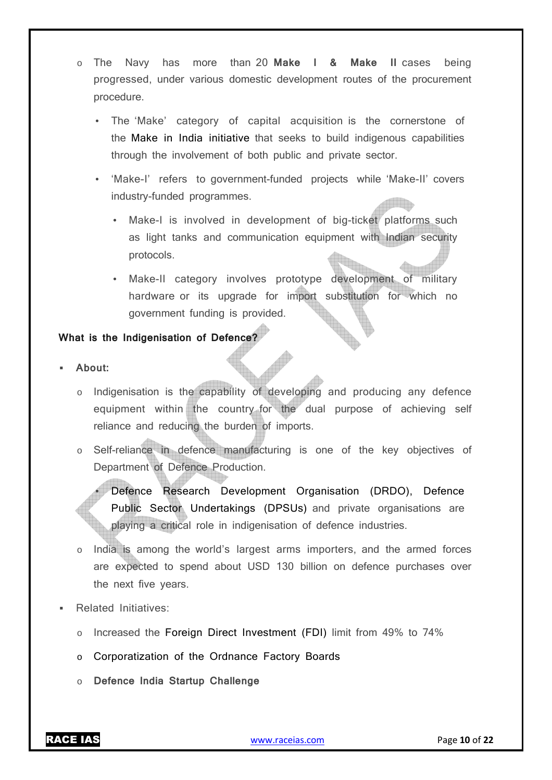- o The Navy has more than 20 **Make I & Make II** cases being progressed, under various domestic development routes of the procurement procedure.
	- The 'Make' category of capital acquisition is the cornerstone of the Make in India initiative that seeks to build indigenous capabilities through the involvement of both public and private sector.
	- 'Make-I' refers to government-funded projects while 'Make-II' covers industry-funded programmes.
		- Make-I is involved in development of big-ticket platforms such as light tanks and communication equipment with Indian security protocols.
		- Make-II category involves prototype development of military hardware or its upgrade for import substitution for which no government funding is provided.

#### **What is the Indigenisation of Defence?**

- **About:** 
	- Indigenisation is the capability of developing and producing any defence equipment within the country for the dual purpose of achieving self reliance and reducing the burden of imports.
	- o Self-reliance in defence manufacturing is one of the key objectives of Department of Defence Production.

• Defence Research Development Organisation (DRDO), Defence Public Sector Undertakings (DPSUs) and private organisations are playing a critical role in indigenisation of defence industries.

- India is among the world's largest arms importers, and the armed forces are expected to spend about USD 130 billion on defence purchases over the next five years.
- Related Initiatives:
	- o Increased the Foreign Direct Investment (FDI) limit from 49% to 74%
	- o Corporatization of the Ordnance Factory Boards
	- o **Defence India Startup Challenge**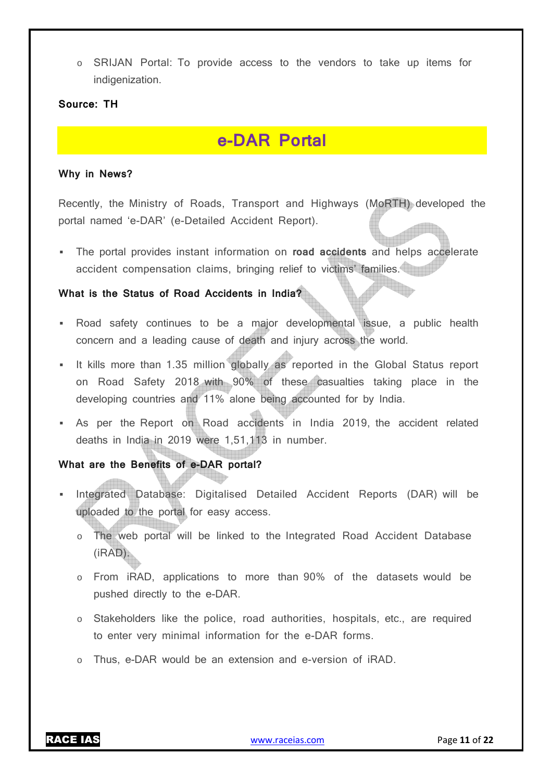o SRIJAN Portal: To provide access to the vendors to take up items for indigenization.

#### **Source: TH**

## **e-DAR Portal**

#### **Why in News?**

Recently, the Ministry of Roads, Transport and Highways (MoRTH) developed the portal named 'e-DAR' (e-Detailed Accident Report).

 The portal provides instant information on **road accidents** and helps accelerate accident compensation claims, bringing relief to victims' families.

#### **What is the Status of Road Accidents in India?**

- Road safety continues to be a major developmental issue, a public health concern and a leading cause of death and injury across the world.
- It kills more than 1.35 million globally as reported in the Global Status report on Road Safety 2018 with 90% of these casualties taking place in the developing countries and 11% alone being accounted for by India.
- As per the Report on Road accidents in India 2019, the accident related deaths in India in 2019 were 1,51,113 in number.

#### **What are the Benefits of e-DAR portal?**

- Integrated Database: Digitalised Detailed Accident Reports (DAR) will be uploaded to the portal for easy access.
	- o The web portal will be linked to the Integrated Road Accident Database (iRAD).
	- o From iRAD, applications to more than 90% of the datasets would be pushed directly to the e-DAR.
	- o Stakeholders like the police, road authorities, hospitals, etc., are required to enter very minimal information for the e-DAR forms.
	- Thus, e-DAR would be an extension and e-version of iRAD.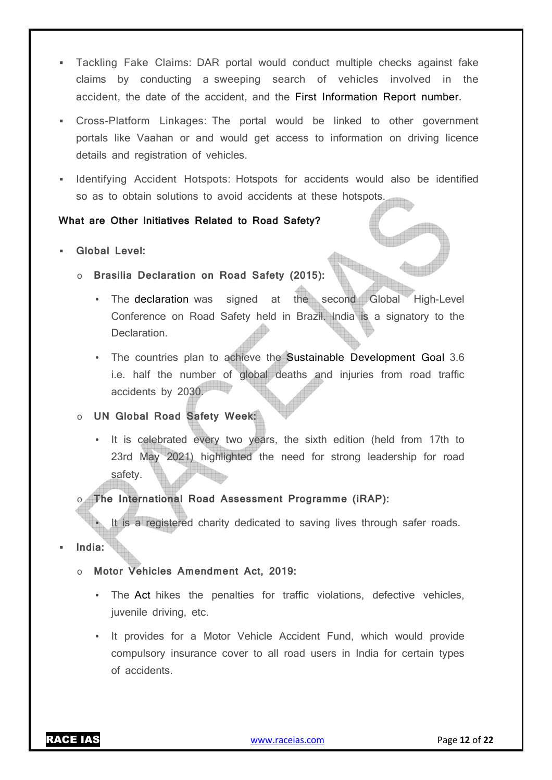- Tackling Fake Claims: DAR portal would conduct multiple checks against fake claims by conducting a sweeping search of vehicles involved in the accident, the date of the accident, and the First Information Report number.
- Cross-Platform Linkages: The portal would be linked to other government portals like Vaahan or and would get access to information on driving licence details and registration of vehicles.
- **Indentifying Accident Hotspots: Hotspots for accidents would also be identified** so as to obtain solutions to avoid accidents at these hotspots.

#### **What are Other Initiatives Related to Road Safety?**

- **Global Level:** 
	- o **Brasilia Declaration on Road Safety (2015):** 
		- The declaration was signed at the second Global High-Level Conference on Road Safety held in Brazil. India is a signatory to the Declaration.
		- The countries plan to achieve the Sustainable Development Goal 3.6 i.e. half the number of global deaths and injuries from road traffic accidents by 2030.
	- o **UN Global Road Safety Week:** 
		- It is celebrated every two years, the sixth edition (held from 17th to 23rd May 2021) highlighted the need for strong leadership for road safety.

#### o **The International Road Assessment Programme (iRAP):**

It is a registered charity dedicated to saving lives through safer roads.

- **India:** 
	- o **Motor Vehicles Amendment Act, 2019:** 
		- The Act hikes the penalties for traffic violations, defective vehicles, juvenile driving, etc.
		- It provides for a Motor Vehicle Accident Fund, which would provide compulsory insurance cover to all road users in India for certain types of accidents.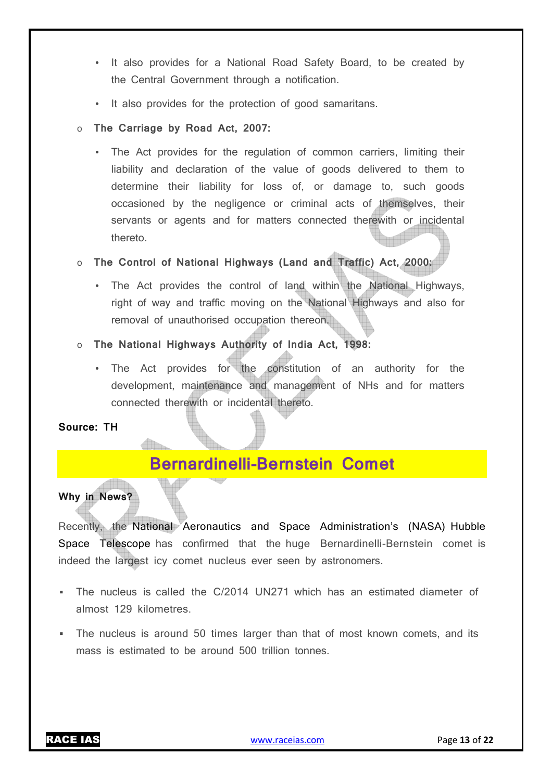- It also provides for a National Road Safety Board, to be created by the Central Government through a notification.
- It also provides for the protection of good samaritans.
- o **The Carriage by Road Act, 2007:** 
	- The Act provides for the regulation of common carriers, limiting their liability and declaration of the value of goods delivered to them to determine their liability for loss of, or damage to, such goods occasioned by the negligence or criminal acts of themselves, their servants or agents and for matters connected therewith or incidental thereto.
- o **The Control of National Highways (Land and Traffic) Act, 2000:** 
	- The Act provides the control of land within the National Highways, right of way and traffic moving on the National Highways and also for removal of unauthorised occupation thereon.
- o **The National Highways Authority of India Act, 1998:**
	- The Act provides for the constitution of an authority for the development, maintenance and management of NHs and for matters connected therewith or incidental thereto.

#### **Source: TH**

### **Bernardinelli-Bernstein Comet**

#### **Why in News?**

Recently, the National Aeronautics and Space Administration's (NASA) Hubble Space Telescope has confirmed that the huge Bernardinelli-Bernstein comet is indeed the largest icy comet nucleus ever seen by astronomers.

- The nucleus is called the C/2014 UN271 which has an estimated diameter of almost 129 kilometres.
- The nucleus is around 50 times larger than that of most known comets, and its mass is estimated to be around 500 trillion tonnes.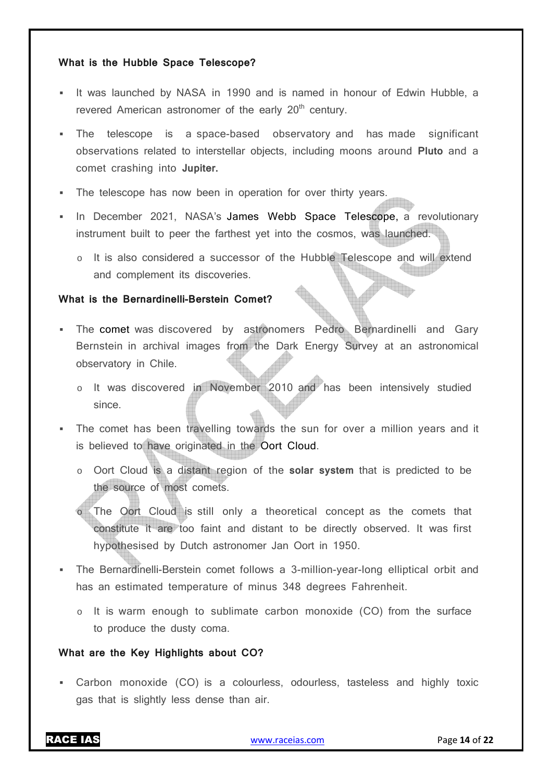#### **What is the Hubble Space Telescope?**

- It was launched by NASA in 1990 and is named in honour of Edwin Hubble, a revered American astronomer of the early  $20<sup>th</sup>$  century.
- The telescope is a space-based observatory and has made significant observations related to interstellar objects, including moons around **Pluto** and a comet crashing into **Jupiter.**
- The telescope has now been in operation for over thirty years.
- In December 2021, NASA's James Webb Space Telescope, a revolutionary instrument built to peer the farthest yet into the cosmos, was launched.
	- o It is also considered a successor of the Hubble Telescope and will extend and complement its discoveries.

#### **What is the Bernardinelli-Berstein Comet?**

- The comet was discovered by astronomers Pedro Bernardinelli and Gary Bernstein in archival images from the Dark Energy Survey at an astronomical observatory in Chile.
	- o It was discovered in November 2010 and has been intensively studied since.
- The comet has been travelling towards the sun for over a million years and it is believed to have originated in the Oort Cloud.
	- o Oort Cloud is a distant region of the **solar system** that is predicted to be the source of most comets.
	- The Oort Cloud is still only a theoretical concept as the comets that constitute it are too faint and distant to be directly observed. It was first hypothesised by Dutch astronomer Jan Oort in 1950.
- The Bernardinelli-Berstein comet follows a 3-million-year-long elliptical orbit and has an estimated temperature of minus 348 degrees Fahrenheit.
	- $\circ$  It is warm enough to sublimate carbon monoxide (CO) from the surface to produce the dusty coma.

#### **What are the Key Highlights about CO?**

 Carbon monoxide (CO) is a colourless, odourless, tasteless and highly toxic gas that is slightly less dense than air.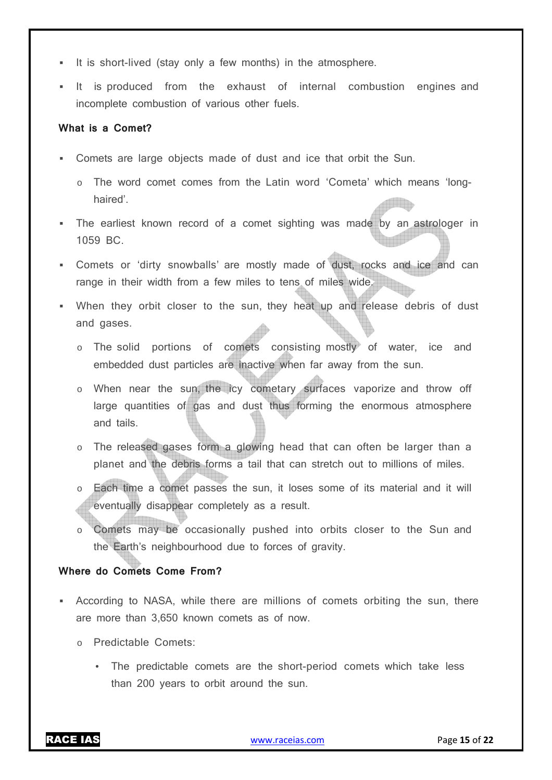- It is short-lived (stay only a few months) in the atmosphere.
- It is produced from the exhaust of internal combustion engines and incomplete combustion of various other fuels.

#### **What is a Comet?**

- Comets are large objects made of dust and ice that orbit the Sun.
	- o The word comet comes from the Latin word 'Cometa' which means 'longhaired'.
- The earliest known record of a comet sighting was made by an astrologer in 1059 BC.
- Comets or 'dirty snowballs' are mostly made of dust, rocks and ice and can range in their width from a few miles to tens of miles wide.
- When they orbit closer to the sun, they heat up and release debris of dust and gases.
	- o The solid portions of comets consisting mostly of water, ice and embedded dust particles are inactive when far away from the sun.
	- o When near the sun, the icy cometary surfaces vaporize and throw off large quantities of gas and dust thus forming the enormous atmosphere and tails.
	- o The released gases form a glowing head that can often be larger than a planet and the debris forms a tail that can stretch out to millions of miles.
	- Each time a comet passes the sun, it loses some of its material and it will eventually disappear completely as a result.
	- o Comets may be occasionally pushed into orbits closer to the Sun and the Earth's neighbourhood due to forces of gravity.

#### **Where do Comets Come From?**

- According to NASA, while there are millions of comets orbiting the sun, there are more than 3,650 known comets as of now.
	- o Predictable Comets:
		- The predictable comets are the short-period comets which take less than 200 years to orbit around the sun.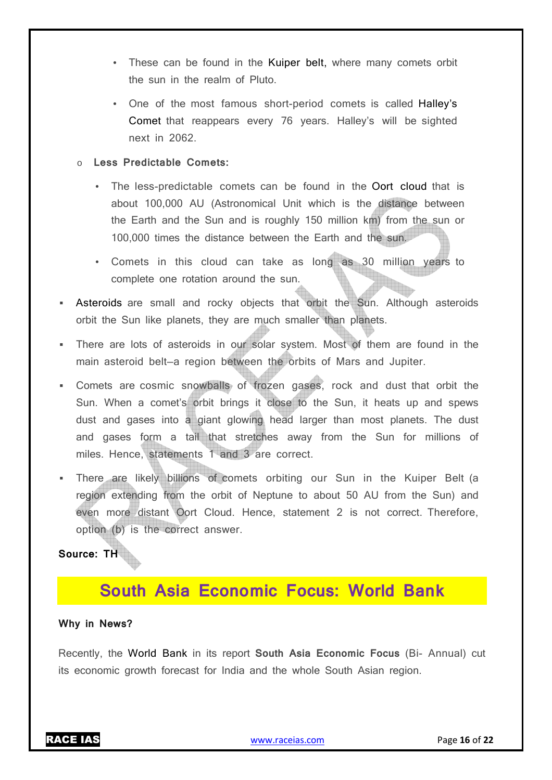- These can be found in the Kuiper belt, where many comets orbit the sun in the realm of Pluto.
- One of the most famous short-period comets is called Halley's Comet that reappears every 76 years. Halley's will be sighted next in 2062.

#### Less Predictable Comets:

- The less-predictable comets can be found in the Oort cloud that is about 100,000 AU (Astronomical Unit which is the distance between the Earth and the Sun and is roughly 150 million km) from the sun or 100,000 times the distance between the Earth and the sun.
- Comets in this cloud can take as long as 30 million years to complete one rotation around the sun.
- Asteroids are small and rocky objects that orbit the Sun. Although asteroids orbit the Sun like planets, they are much smaller than planets.
- There are lots of asteroids in our solar system. Most of them are found in the main asteroid belt—a region between the orbits of Mars and Jupiter.
- Comets are cosmic snowballs of frozen gases, rock and dust that orbit the Sun. When a comet's orbit brings it close to the Sun, it heats up and spews dust and gases into a giant glowing head larger than most planets. The dust and gases form a tail that stretches away from the Sun for millions of miles. Hence, statements 1 and 3 are correct.
- There are likely billions of comets orbiting our Sun in the Kuiper Belt (a region extending from the orbit of Neptune to about 50 AU from the Sun) and even more distant Oort Cloud. Hence, statement 2 is not correct. Therefore, option (b) is the correct answer.

**Source: TH** 

## **South Asia Economic Focus: World Bank**

#### **Why in News?**

Recently, the World Bank in its report **South Asia Economic Focus** (Bi- Annual) cut its economic growth forecast for India and the whole South Asian region.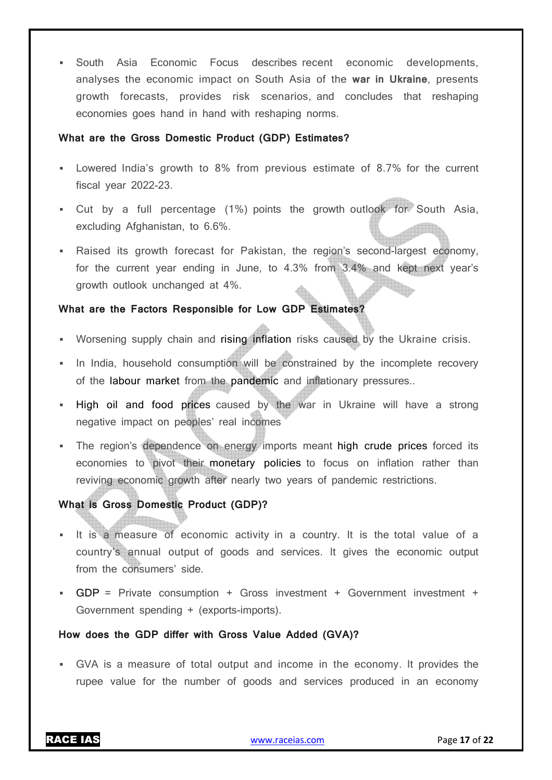South Asia Economic Focus describes recent economic developments, analyses the economic impact on South Asia of the **war in Ukraine**, presents growth forecasts, provides risk scenarios, and concludes that reshaping economies goes hand in hand with reshaping norms.

#### **What are the Gross Domestic Product (GDP) Estimates?**

- Lowered India's growth to 8% from previous estimate of 8.7% for the current fiscal year 2022-23.
- Cut by a full percentage (1%) points the growth outlook for South Asia, excluding Afghanistan, to 6.6%.
- Raised its growth forecast for Pakistan, the region's second-largest economy, for the current year ending in June, to 4.3% from 3.4% and kept next year's growth outlook unchanged at 4%.

#### **What are the Factors Responsible for Low GDP Estimates?**

- **Worsening supply chain and rising inflation risks caused by the Ukraine crisis.**
- In India, household consumption will be constrained by the incomplete recovery of the labour market from the pandemic and inflationary pressures..
- . High oil and food prices caused by the war in Ukraine will have a strong negative impact on peoples' real incomes
- The region's dependence on energy imports meant high crude prices forced its economies to pivot their monetary policies to focus on inflation rather than reviving economic growth after nearly two years of pandemic restrictions.

#### **What is Gross Domestic Product (GDP)?**

- It is a measure of economic activity in a country. It is the total value of a country's annual output of goods and services. It gives the economic output from the consumers' side.
- GDP = Private consumption + Gross investment + Government investment + Government spending + (exports-imports).

#### **How does the GDP differ with Gross Value Added (GVA)?**

 GVA is a measure of total output and income in the economy. It provides the rupee value for the number of goods and services produced in an economy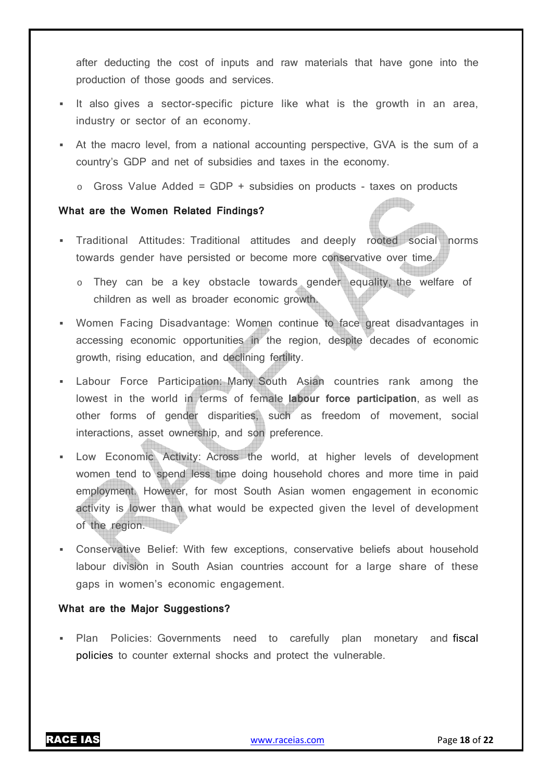after deducting the cost of inputs and raw materials that have gone into the production of those goods and services.

- It also gives a sector-specific picture like what is the growth in an area, industry or sector of an economy.
- At the macro level, from a national accounting perspective, GVA is the sum of a country's GDP and net of subsidies and taxes in the economy.
	- $\circ$  Gross Value Added = GDP + subsidies on products taxes on products

#### **What are the Women Related Findings?**

- Traditional Attitudes: Traditional attitudes and deeply rooted social norms towards gender have persisted or become more conservative over time.
	- o They can be a key obstacle towards gender equality, the welfare of children as well as broader economic growth.
- Women Facing Disadvantage: Women continue to face great disadvantages in accessing economic opportunities in the region, despite decades of economic growth, rising education, and declining fertility.
- Labour Force Participation: Many South Asian countries rank among the lowest in the world in terms of female **labour force participation**, as well as other forms of gender disparities, such as freedom of movement, social interactions, asset ownership, and son preference.
- Low Economic Activity: Across the world, at higher levels of development women tend to spend less time doing household chores and more time in paid employment. However, for most South Asian women engagement in economic activity is lower than what would be expected given the level of development of the region.
- Conservative Belief: With few exceptions, conservative beliefs about household labour division in South Asian countries account for a large share of these gaps in women's economic engagement.

#### **What are the Major Suggestions?**

**Plan Policies: Governments need to carefully plan monetary and fiscal** policies to counter external shocks and protect the vulnerable.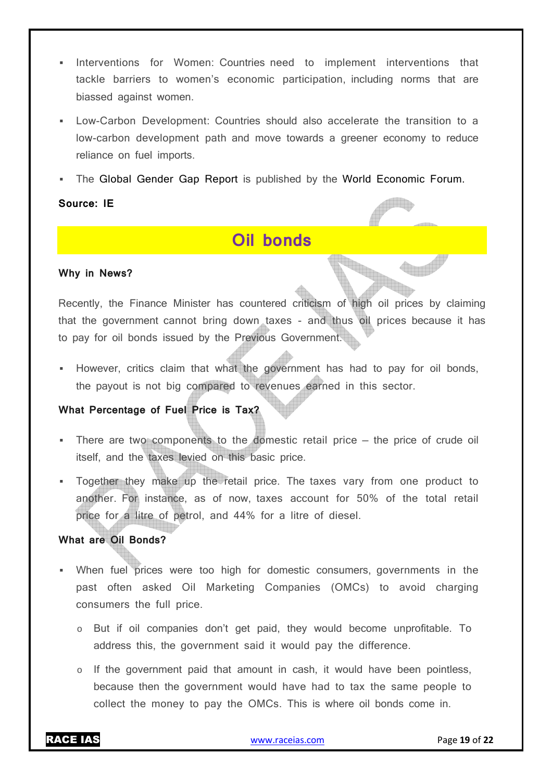- Interventions for Women: Countries need to implement interventions that tackle barriers to women's economic participation, including norms that are biassed against women.
- Low-Carbon Development: Countries should also accelerate the transition to a low-carbon development path and move towards a greener economy to reduce reliance on fuel imports.
- The Global Gender Gap Report is published by the World Economic Forum.

#### **Source: IE**

## **Oil bonds**

#### **Why in News?**

Recently, the Finance Minister has countered criticism of high oil prices by claiming that the government cannot bring down taxes - and thus oil prices because it has to pay for oil bonds issued by the Previous Government.

 However, critics claim that what the government has had to pay for oil bonds, the payout is not big compared to revenues earned in this sector.

#### **What Percentage of Fuel Price is Tax?**

- There are two components to the domestic retail price the price of crude oil itself, and the taxes levied on this basic price.
- Together they make up the retail price. The taxes vary from one product to another. For instance, as of now, taxes account for 50% of the total retail price for a litre of petrol, and 44% for a litre of diesel.

#### **What are Oil Bonds?**

- When fuel prices were too high for domestic consumers, governments in the past often asked Oil Marketing Companies (OMCs) to avoid charging consumers the full price.
	- o But if oil companies don't get paid, they would become unprofitable. To address this, the government said it would pay the difference.
	- $\circ$  If the government paid that amount in cash, it would have been pointless, because then the government would have had to tax the same people to collect the money to pay the OMCs. This is where oil bonds come in.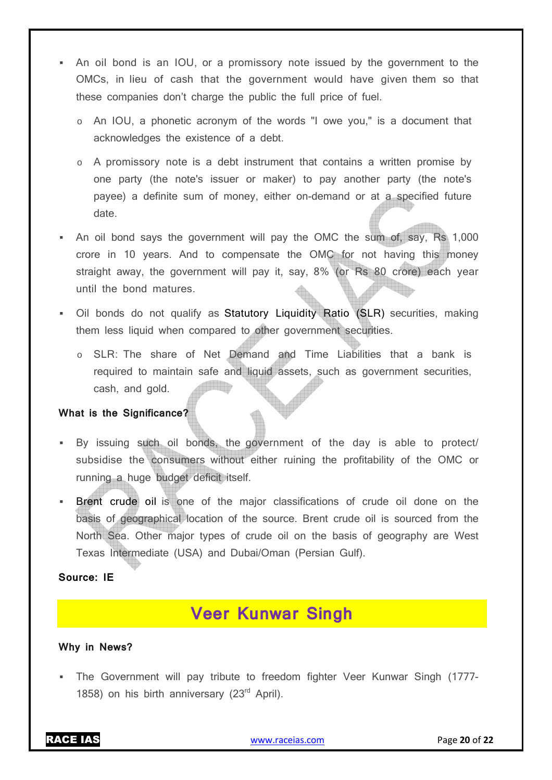- An oil bond is an IOU, or a promissory note issued by the government to the OMCs, in lieu of cash that the government would have given them so that these companies don't charge the public the full price of fuel.
	- o An IOU, a phonetic acronym of the words "I owe you," is a document that acknowledges the existence of a debt.
	- o A promissory note is a debt instrument that contains a written promise by one party (the note's issuer or maker) to pay another party (the note's payee) a definite sum of money, either on-demand or at a specified future date.
- An oil bond says the government will pay the OMC the sum of, say, Rs 1,000 crore in 10 years. And to compensate the OMC for not having this money straight away, the government will pay it, say, 8% (or Rs 80 crore) each year until the bond matures.
- Oil bonds do not qualify as Statutory Liquidity Ratio (SLR) securities, making them less liquid when compared to other government securities.
	- o SLR: The share of Net Demand and Time Liabilities that a bank is required to maintain safe and liquid assets, such as government securities, iama an mh cash, and gold.

#### **What is the Significance?**

- By issuing such oil bonds, the government of the day is able to protect/ subsidise the consumers without either ruining the profitability of the OMC or running a huge budget deficit itself.
- Brent crude oil is one of the major classifications of crude oil done on the basis of geographical location of the source. Brent crude oil is sourced from the North Sea. Other major types of crude oil on the basis of geography are West Texas Intermediate (USA) and Dubai/Oman (Persian Gulf).

#### **Source: IE**

## **Veer Kunwar Singh**

#### **Why in News?**

 The Government will pay tribute to freedom fighter Veer Kunwar Singh (1777- 1858) on his birth anniversary (23<sup>rd</sup> April).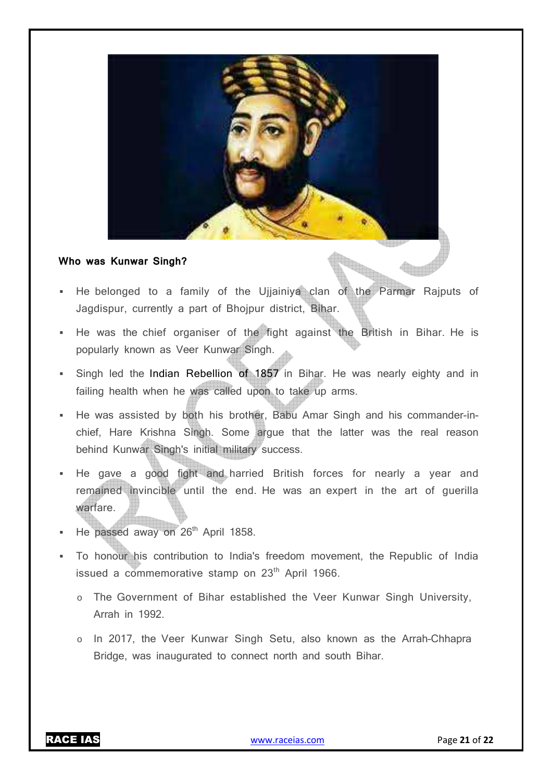

#### **Who was Kunwar Singh?**

- He belonged to a family of the Ujjainiya clan of the Parmar Rajputs of Jagdispur, currently a part of Bhojpur district, Bihar.
- He was the chief organiser of the fight against the British in Bihar. He is popularly known as Veer Kunwar Singh.
- Singh led the Indian Rebellion of 1857 in Bihar. He was nearly eighty and in failing health when he was called upon to take up arms.
- He was assisted by both his brother, Babu Amar Singh and his commander-inchief, Hare Krishna Singh. Some argue that the latter was the real reason behind Kunwar Singh's initial military success.
- He gave a good fight and harried British forces for nearly a year and remained invincible until the end. He was an expert in the art of guerilla warfare.
- He passed away on 26<sup>th</sup> April 1858.
- To honour his contribution to India's freedom movement, the Republic of India issued a commemorative stamp on 23<sup>th</sup> April 1966.
	- o The Government of Bihar established the Veer Kunwar Singh University, Arrah in 1992.
	- o In 2017, the Veer Kunwar Singh Setu, also known as the Arrah–Chhapra Bridge, was inaugurated to connect north and south Bihar.